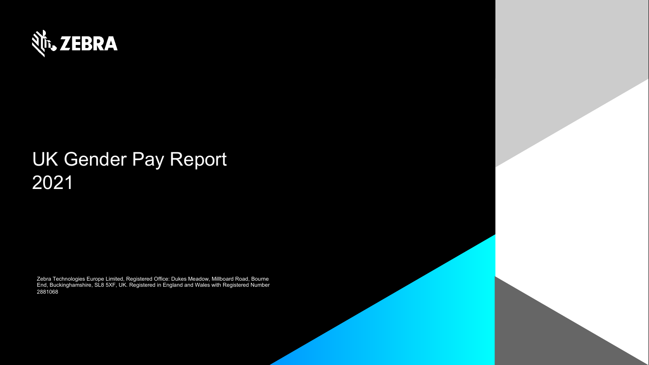

# UK Gender Pay Report 2021

Zebra Technologies Europe Limited, Registered Office: Dukes Meadow, Millboard Road, Bourne End, Buckinghamshire, SL8 5XF, UK. Registered in England and Wales with Registered Number 2881068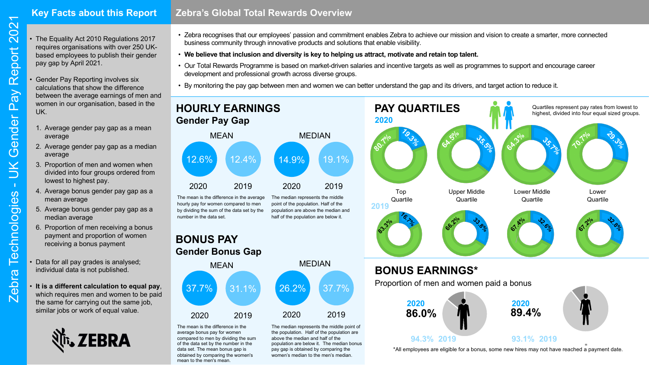## **Key Facts about this Report**

- The Equality Act 2010 Regulations 2017 requires organisations with over 250 UKbased employees to publish their gender pay gap by April 2021.
- Gender Pay Reporting involves six calculations that show the difference between the average earnings of men and women in our organisation, based in the UK.
	- 1. Average gender pay gap as a mean average
	- 2. Average gender pay gap as a median average
	- 3. Proportion of men and women when divided into four groups ordered from lowest to highest pay.
	- 4. Average bonus gender pay gap as a mean average
	- 5. Average bonus gender pay gap as a median average
	- 6. Proportion of men receiving a bonus payment and proportion of women receiving a bonus payment
- Data for all pay grades is analysed; individual data is not published.
- **It is a different calculation to equal pay**, which requires men and women to be paid the same for carrying out the same job, similar jobs or work of equal value.



- Zebra recognises that our employees' passion and commitment enables Zebra to achieve our mission and vision to create a smarter, more connected business community through innovative products and solutions that enable visibility.
- **We believe that inclusion and diversity is key to helping us attract, motivate and retain top talent.**
- Our Total Rewards Programme is based on market-driven salaries and incentive targets as well as programmes to support and encourage career development and professional growth across diverse groups.
- By monitoring the pay gap between men and women we can better understand the gap and its drivers, and target action to reduce it.



The mean is the difference in the average hourly pay for women compared to men by dividing the sum of the data set by the number in the data set. The median represents the middle point of the population. Half of the population are above the median and half of the population are below it.

**BONUS PAY Gender Bonus Gap**



above the median and half of the population are below it. The median bonus pay gap is obtained by comparing the women's median to the men's median.

The mean is the difference in the average bonus pay for women compared to men by dividing the sum of the data set by the number in the data set. The mean bonus gap is obtained by comparing the women's mean to the men's mean.



\*All employees are eligible for a bonus, some new hires may not have reached a payment date.

**93.1% 2019**

**94.3% 2019**

 $\overline{\phantom{0}}$